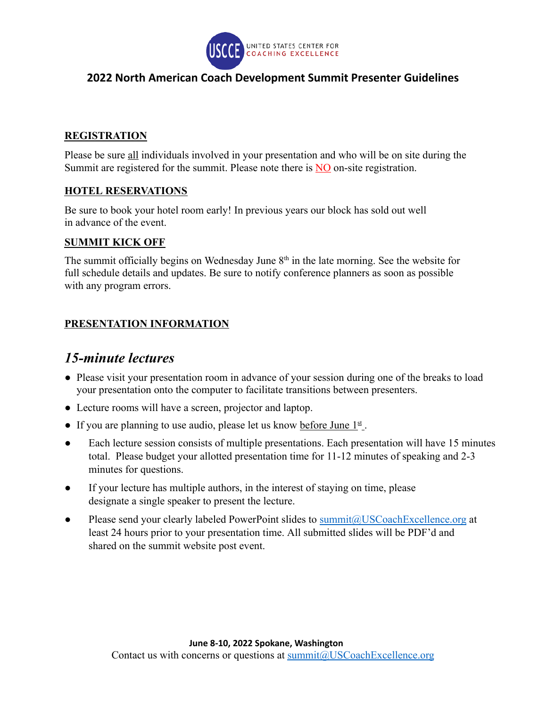

### **2022 North American Coach Development Summit Presenter Guidelines**

#### **REGISTRATION**

Please be sure all individuals involved in your presentation and who will be on site during the Summit are registered for the summit. Please note there is NO on-site registration.

#### **HOTEL RESERVATIONS**

Be sure to book your hotel room early! In previous years our block has sold out well in advance of the event.

#### **SUMMIT KICK OFF**

The summit officially begins on Wednesday June  $8<sup>th</sup>$  in the late morning. See the website for full schedule details and updates. Be sure to notify conference planners as soon as possible with any program errors.

#### **PRESENTATION INFORMATION**

## *15-minute lectures*

- Please visit your presentation room in advance of your session during one of the breaks to load your presentation onto the computer to facilitate transitions between presenters.
- Lecture rooms will have a screen, projector and laptop.
- If you are planning to use audio, please let us know before June  $1<sup>st</sup>$ .
- Each lecture session consists of multiple presentations. Each presentation will have 15 minutes total. Please budget your allotted presentation time for 11-12 minutes of speaking and 2-3 minutes for questions.
- If your lecture has multiple authors, in the interest of staying on time, please designate a single speaker to present the lecture.
- Please send your clearly labeled PowerPoint slides to [summit@USCoachExcellence.org](mailto:summit@USCoachExcellence.org) at least 24 hours prior to your presentation time. All submitted slides will be PDF'd and shared on the summit website post event.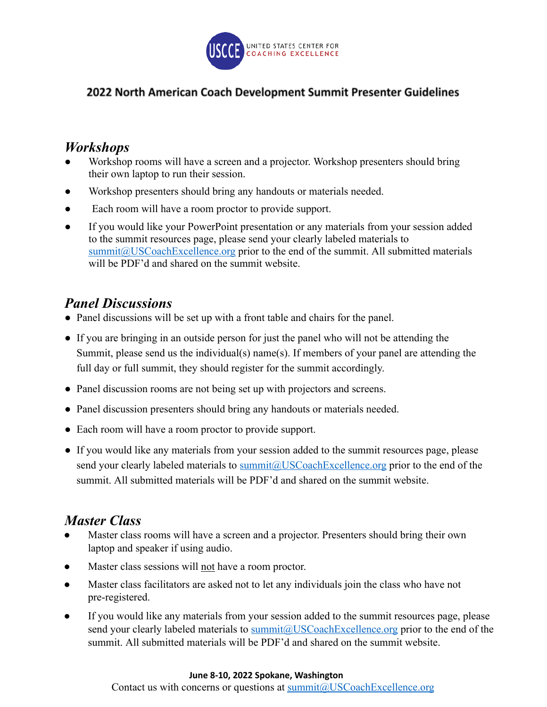

### 2022 North American Coach Development Summit Presenter Guidelines

## *Workshops*

- Workshop rooms will have a screen and a projector. Workshop presenters should bring their own laptop to run their session.
- Workshop presenters should bring any handouts or materials needed.
- Each room will have a room proctor to provide support.
- If you would like you[r](mailto:summit@USCoachExcellence.org) PowerPoint presentation or any materials from your session added to the summit resources page, please send your clearly labeled materials to [summit@USCoachExcellence.org](mailto:summit@USCoachExcellence.org) prior to the end of the summit. All submitted materials will be PDF'd and shared on the summit website.

# *Panel Discussions*

- Panel discussions will be set up with a front table and chairs for the panel.
- If you are bringing in an outside person for just the panel who will not be attending the Summit, please send us the individual(s) name(s). If members of your panel are attending the full day or full summit, they should register for the summit accordingly.
- Panel discussion rooms are not being set up with projectors and screens.
- Panel discussion presenters should bring any handouts or materials needed.
- Each room will have a room proctor to provide support.
- If you would like any materials from your session added to the summit resources page, please send your clearly labeled materials to summit @USCoachExcellence.org prior to the end of the summit. All submitted materials will be PDF'd and shared on the summit website.

# *Master Class*

- Master class rooms will have a screen and a projector. Presenters should bring their own laptop and speaker if using audio.
- Master class sessions will not have a room proctor.
- Master class facilitators are asked not to let any individuals join the class who have not pre-registered.
- If you would like any materials from your session added to the summit resources page, please send your clearly labeled materials to [summit@USCoachExcellence.org](mailto:summit@USCoachExcellence.org) prior to the end of the summit. All submitted materials will be PDF'd and shared on the summit website.

#### **June 8-10, 2022 Spokane, Washington**

Contact us with concerns or questions at [summit@USCoachExcellence.org](mailto:summit@USCoachExcellence.org)